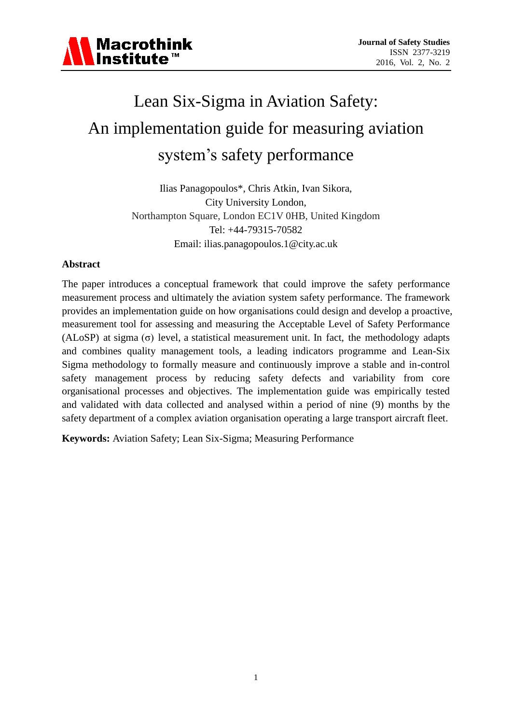

# Lean Six-Sigma in Aviation Safety: An implementation guide for measuring aviation system's safety performance

Ilias Panagopoulos\*, Chris Atkin, Ivan Sikora, City University London, Northampton Square, London EC1V 0HB, United Kingdom Tel: +44-79315-70582 Email: ilias.panagopoulos.1@city.ac.uk

# **Abstract**

The paper introduces a conceptual framework that could improve the safety performance measurement process and ultimately the aviation system safety performance. The framework provides an implementation guide on how organisations could design and develop a proactive, measurement tool for assessing and measuring the Acceptable Level of Safety Performance (ALoSP) at sigma  $(\sigma)$  level, a statistical measurement unit. In fact, the methodology adapts and combines quality management tools, a leading indicators programme and Lean-Six Sigma methodology to formally measure and continuously improve a stable and in-control safety management process by reducing safety defects and variability from core organisational processes and objectives. The implementation guide was empirically tested and validated with data collected and analysed within a period of nine (9) months by the safety department of a complex aviation organisation operating a large transport aircraft fleet.

**Keywords:** Aviation Safety; Lean Six-Sigma; Measuring Performance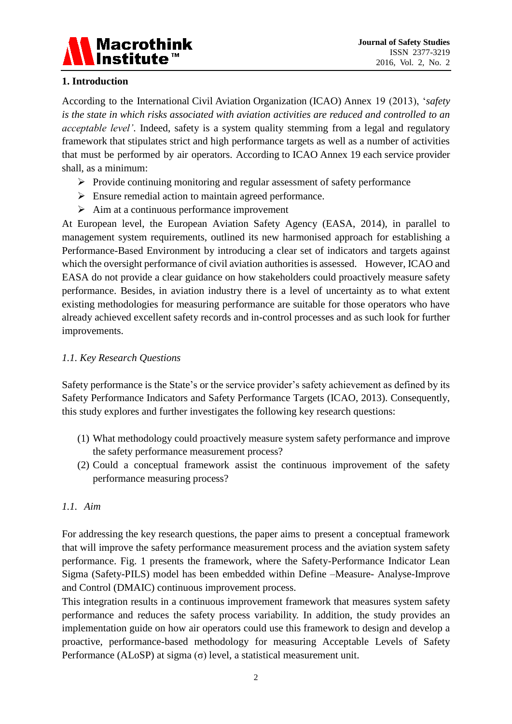

# **1. Introduction**

According to the International Civil Aviation Organization (ICAO) Annex 19 (2013), '*safety is the state in which risks associated with aviation activities are reduced and controlled to an acceptable level'*. Indeed, safety is a system quality stemming from a legal and regulatory framework that stipulates strict and high performance targets as well as a number of activities that must be performed by air operators. According to ICAO Annex 19 each service provider shall, as a minimum:

- $\triangleright$  Provide continuing monitoring and regular assessment of safety performance
- $\triangleright$  Ensure remedial action to maintain agreed performance.
- $\triangleright$  Aim at a continuous performance improvement

At European level, the European Aviation Safety Agency (EASA, 2014), in parallel to management system requirements, outlined its new harmonised approach for establishing a Performance-Based Environment by introducing a clear set of indicators and targets against which the oversight performance of civil aviation authorities is assessed. However, ICAO and EASA do not provide a clear guidance on how stakeholders could proactively measure safety performance. Besides, in aviation industry there is a level of uncertainty as to what extent existing methodologies for measuring performance are suitable for those operators who have already achieved excellent safety records and in-control processes and as such look for further improvements.

# *1.1. Key Research Questions*

Safety performance is the State's or the service provider's safety achievement as defined by its Safety Performance Indicators and Safety Performance Targets (ICAO, 2013). Consequently, this study explores and further investigates the following key research questions:

- (1) What methodology could proactively measure system safety performance and improve the safety performance measurement process?
- (2) Could a conceptual framework assist the continuous improvement of the safety performance measuring process?

# *1.1. Aim*

For addressing the key research questions, the paper aims to present a conceptual framework that will improve the safety performance measurement process and the aviation system safety performance. Fig. 1 presents the framework, where the Safety-Performance Indicator Lean Sigma (Safety-PILS) model has been embedded within Define –Measure- Analyse-Improve and Control (DMAIC) continuous improvement process.

This integration results in a continuous improvement framework that measures system safety performance and reduces the safety process variability. In addition, the study provides an implementation guide on how air operators could use this framework to design and develop a proactive, performance-based methodology for measuring Acceptable Levels of Safety Performance (ALoSP) at sigma  $(\sigma)$  level, a statistical measurement unit.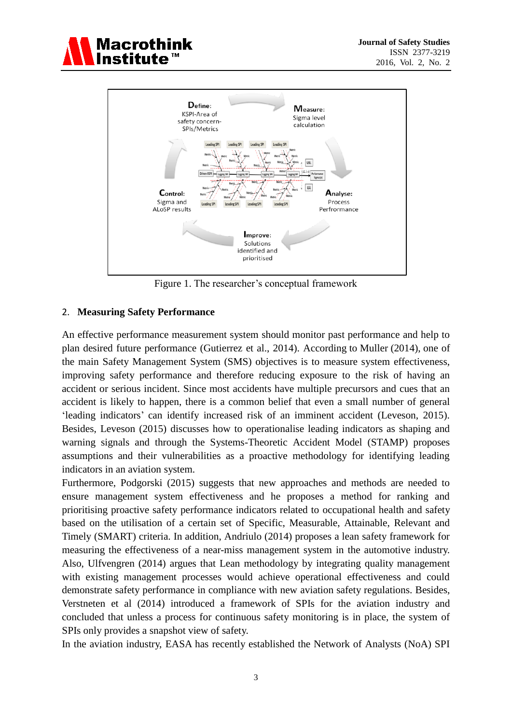



Figure 1. The researcher's conceptual framework

#### 2. **Measuring Safety Performance**

An effective performance measurement system should monitor past performance and help to plan desired future performance (Gutierrez et al., 2014). According to Muller (2014), one of the main Safety Management System (SMS) objectives is to measure system effectiveness, improving safety performance and therefore reducing exposure to the risk of having an accident or serious incident. Since most accidents have multiple precursors and cues that an accident is likely to happen, there is a common belief that even a small number of general 'leading indicators' can identify increased risk of an imminent accident (Leveson, 2015). Besides, Leveson (2015) discusses how to operationalise leading indicators as shaping and warning signals and through the Systems-Theoretic Accident Model (STAMP) proposes assumptions and their vulnerabilities as a proactive methodology for identifying leading indicators in an aviation system.

Furthermore, Podgorski (2015) suggests that new approaches and methods are needed to ensure management system effectiveness and he proposes a method for ranking and prioritising proactive safety performance indicators related to occupational health and safety based on the utilisation of a certain set of Specific, Measurable, Attainable, Relevant and Timely (SMART) criteria. In addition, Andriulo (2014) proposes a lean safety framework for measuring the effectiveness of a near-miss management system in the automotive industry. Also, Ulfvengren (2014) argues that Lean methodology by integrating quality management with existing management processes would achieve operational effectiveness and could demonstrate safety performance in compliance with new aviation safety regulations. Besides, Verstneten et al (2014) introduced a framework of SPIs for the aviation industry and concluded that unless a process for continuous safety monitoring is in place, the system of SPIs only provides a snapshot view of safety.

In the aviation industry, EASA has recently established the Network of Analysts (NoA) SPI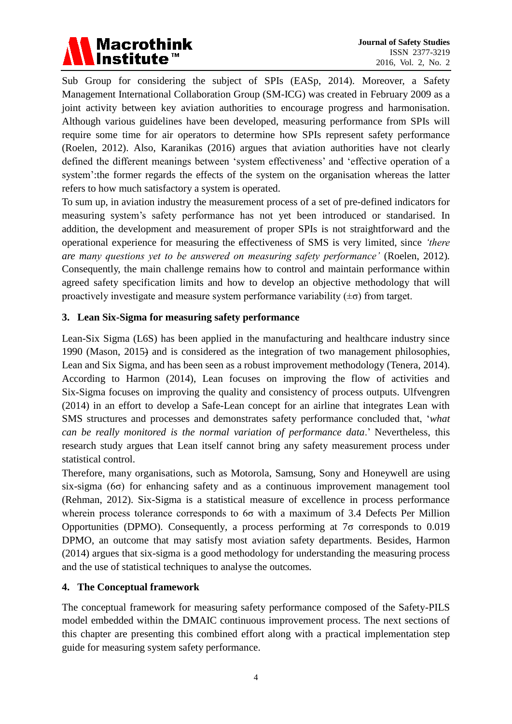

Sub Group for considering the subject of SPIs (EASp, 2014). Moreover, a Safety Management International Collaboration Group (SM-ICG) was created in February 2009 as a joint activity between key aviation authorities to encourage progress and harmonisation. Although various guidelines have been developed, measuring performance from SPIs will require some time for air operators to determine how SPIs represent safety performance (Roelen, 2012). Also, Karanikas (2016) argues that aviation authorities have not clearly defined the different meanings between 'system effectiveness' and 'effective operation of a system':the former regards the effects of the system on the organisation whereas the latter refers to how much satisfactory a system is operated.

To sum up, in aviation industry the measurement process of a set of pre-defined indicators for measuring system's safety performance has not yet been introduced or standarised. In addition, the development and measurement of proper SPIs is not straightforward and the operational experience for measuring the effectiveness of SMS is very limited, since *'there are many questions yet to be answered on measuring safety performance'* (Roelen, 2012)*.* Consequently, the main challenge remains how to control and maintain performance within agreed safety specification limits and how to develop an objective methodology that will proactively investigate and measure system performance variability  $(\pm \sigma)$  from target.

# **3. Lean Six-Sigma for measuring safety performance**

Lean-Six Sigma (L6S) has been applied in the manufacturing and healthcare industry since 1990 (Mason, 2015) and is considered as the integration of two management philosophies, Lean and Six Sigma, and has been seen as a robust improvement methodology (Tenera, 2014). According to Harmon (2014), Lean focuses on improving the flow of activities and Six-Sigma focuses on improving the quality and consistency of process outputs. Ulfvengren (2014) in an effort to develop a Safe-Lean concept for an airline that integrates Lean with SMS structures and processes and demonstrates safety performance concluded that, '*what can be really monitored is the normal variation of performance data*.' Nevertheless, this research study argues that Lean itself cannot bring any safety measurement process under statistical control.

Therefore, many organisations, such as Motorola, Samsung, Sony and Honeywell are using six-sigma ( $6\sigma$ ) for enhancing safety and as a continuous improvement management tool (Rehman, 2012). Six-Sigma is a statistical measure of excellence in process performance wherein process tolerance corresponds to 6σ with a maximum of 3.4 Defects Per Million Opportunities (DPMO). Consequently, a process performing at 7σ corresponds to 0.019 DPMO, an outcome that may satisfy most aviation safety departments. Besides, Harmon (2014) argues that six-sigma is a good methodology for understanding the measuring process and the use of statistical techniques to analyse the outcomes*.*

# **4. The Conceptual framework**

The conceptual framework for measuring safety performance composed of the Safety-PILS model embedded within the DMAIC continuous improvement process. The next sections of this chapter are presenting this combined effort along with a practical implementation step guide for measuring system safety performance.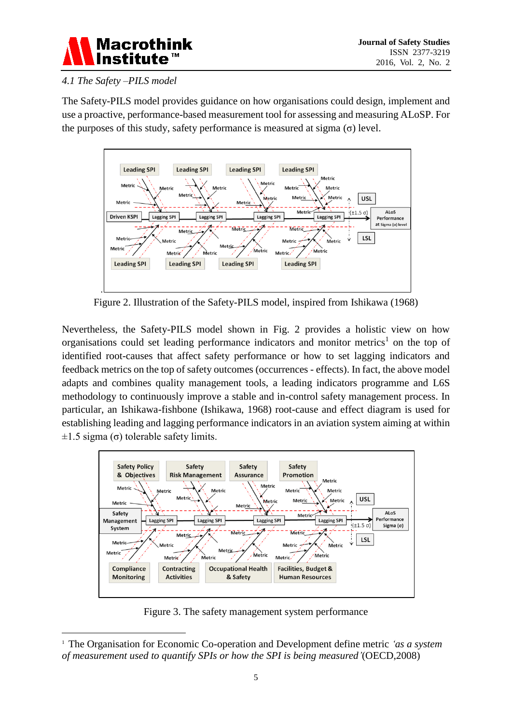

# *4.1 The Safety –PILS model*

-

The Safety-PILS model provides guidance on how organisations could design, implement and use a proactive, performance-based measurement tool for assessing and measuring ALoSP. For the purposes of this study, safety performance is measured at sigma  $(\sigma)$  level.



Figure 2. Illustration of the Safety-PILS model, inspired from Ishikawa (1968)

Nevertheless, the Safety-PILS model shown in Fig. 2 provides a holistic view on how organisations could set leading performance indicators and monitor metrics<sup>1</sup> on the top of identified root-causes that affect safety performance or how to set lagging indicators and feedback metrics on the top of safety outcomes (occurrences - effects). In fact, the above model adapts and combines quality management tools, a leading indicators programme and L6S methodology to continuously improve a stable and in-control safety management process. In particular, an Ishikawa-fishbone (Ishikawa, 1968) root-cause and effect diagram is used for establishing leading and lagging performance indicators in an aviation system aiming at within  $±1.5$  sigma (σ) tolerable safety limits.



Figure 3. The safety management system performance

<sup>1</sup> The Organisation for Economic Co-operation and Development define metric *'as a system of measurement used to quantify SPIs or how the SPI is being measured'*(OECD,2008)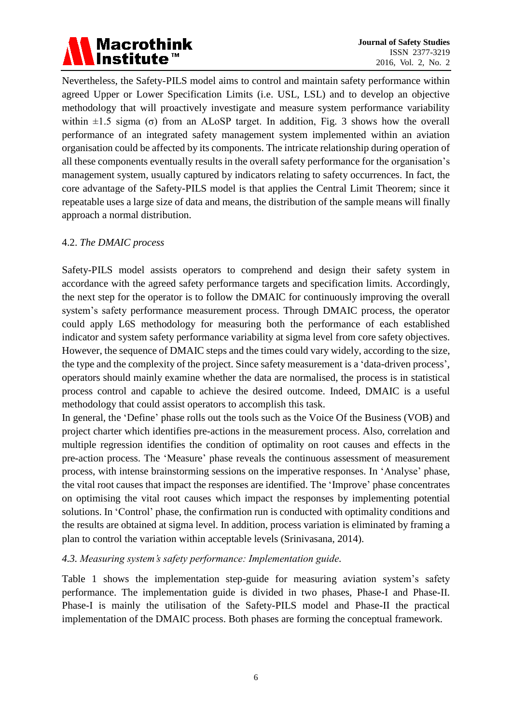# Macrothink<br>|Institute™

Nevertheless, the Safety-PILS model aims to control and maintain safety performance within agreed Upper or Lower Specification Limits (i.e. USL, LSL) and to develop an objective methodology that will proactively investigate and measure system performance variability within  $\pm 1.5$  sigma (σ) from an ALoSP target. In addition, Fig. 3 shows how the overall performance of an integrated safety management system implemented within an aviation organisation could be affected by its components. The intricate relationship during operation of all these components eventually results in the overall safety performance for the organisation's management system, usually captured by indicators relating to safety occurrences. In fact, the core advantage of the Safety-PILS model is that applies the Central Limit Theorem; since it repeatable uses a large size of data and means, the distribution of the sample means will finally approach a normal distribution.

# 4.2. *The DMAIC process*

Safety-PILS model assists operators to comprehend and design their safety system in accordance with the agreed safety performance targets and specification limits. Accordingly, the next step for the operator is to follow the DMAIC for continuously improving the overall system's safety performance measurement process. Through DMAIC process, the operator could apply L6S methodology for measuring both the performance of each established indicator and system safety performance variability at sigma level from core safety objectives. However, the sequence of DMAIC steps and the times could vary widely, according to the size, the type and the complexity of the project. Since safety measurement is a 'data-driven process', operators should mainly examine whether the data are normalised, the process is in statistical process control and capable to achieve the desired outcome. Indeed, DMAIC is a useful methodology that could assist operators to accomplish this task.

In general, the 'Define' phase rolls out the tools such as the Voice Of the Business (VOB) and project charter which identifies pre-actions in the measurement process. Also, correlation and multiple regression identifies the condition of optimality on root causes and effects in the pre-action process. The 'Measure' phase reveals the continuous assessment of measurement process, with intense brainstorming sessions on the imperative responses. In 'Analyse' phase, the vital root causes that impact the responses are identified. The 'Improve' phase concentrates on optimising the vital root causes which impact the responses by implementing potential solutions. In 'Control' phase, the confirmation run is conducted with optimality conditions and the results are obtained at sigma level. In addition, process variation is eliminated by framing a plan to control the variation within acceptable levels (Srinivasana, 2014).

# *4.3. Measuring system's safety performance: Implementation guide.*

Table 1 shows the implementation step-guide for measuring aviation system's safety performance. The implementation guide is divided in two phases, Phase-I and Phase-II. Phase-I is mainly the utilisation of the Safety-PILS model and Phase-II the practical implementation of the DMAIC process. Both phases are forming the conceptual framework.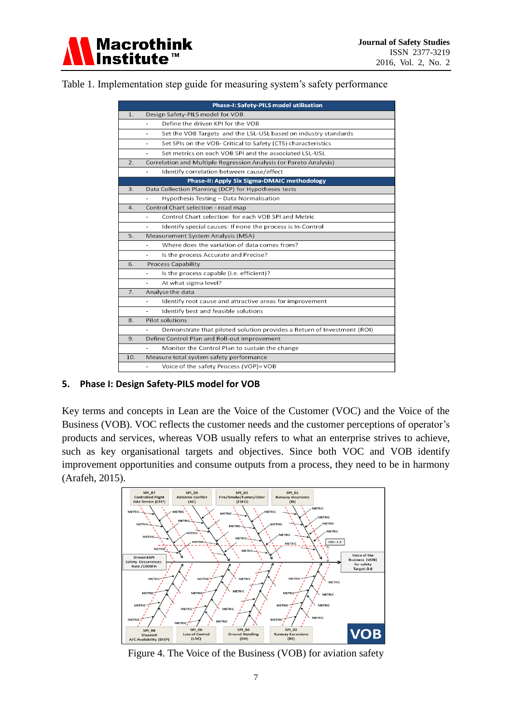Table 1. Implementation step guide for measuring system's safety performance

|                                             | <b>Phase-I: Safety-PILS model utilisation</b>                                   |  |
|---------------------------------------------|---------------------------------------------------------------------------------|--|
| 1.                                          | Design Safety-PILS model for VOB                                                |  |
|                                             | Define the driven KPI for the VOB<br>÷,                                         |  |
|                                             | Set the VOB Targets and the LSL-USL based on industry standards<br>۰            |  |
|                                             | Set SPIs on the VOB- Critical to Safety (CTS) characteristics<br>$\blacksquare$ |  |
|                                             | Set metrics on each VOB SPI and the associated LSL-USL<br>$\overline{a}$        |  |
| 2.                                          | Correlation and Multiple Regression Analysis (or Pareto Analysis)               |  |
|                                             | Identify correlation between cause/effect<br>٠                                  |  |
| Phase-II: Apply Six Sigma-DMAIC methodology |                                                                                 |  |
| 3.                                          | Data Collection Planning (DCP) for Hypotheses tests                             |  |
|                                             | Hypothesis Testing - Data Normalisation                                         |  |
| 4.                                          | Control Chart selection - road map                                              |  |
|                                             | Control Chart selection for each VOB SPI and Metric                             |  |
|                                             | Identify special causes: If none the process is In-Control<br>÷.                |  |
| 5.                                          | Measurement System Analysis (MSA)                                               |  |
|                                             | Where does the variation of data comes from?                                    |  |
|                                             | Is the process Accurate and Precise?<br>÷                                       |  |
| 6.                                          | <b>Process Capability</b>                                                       |  |
|                                             | Is the process capable (i.e. efficient)?<br>٠                                   |  |
|                                             | At what sigma level?<br>$\overline{a}$                                          |  |
| 7.                                          | Analyse the data                                                                |  |
|                                             | Identify root cause and attractive areas for improvement<br>÷                   |  |
|                                             | Identify best and feasible solutions                                            |  |
| 8.                                          | Pilot solutions                                                                 |  |
|                                             | Demonstrate that piloted solution provides a Return of Investment (ROI)         |  |
| 9.                                          | Define Control Plan and Roll-out improvement                                    |  |
|                                             | Monitor the Control Plan to sustain the change                                  |  |
| 10.                                         | Measure total system safety performance                                         |  |
|                                             | Voice of the safety Process (VOP)= VOB                                          |  |

# **5. Phase I: Design Safety-PILS model for VOB**

Key terms and concepts in Lean are the Voice of the Customer (VOC) and the Voice of the Business (VOB). VOC reflects the customer needs and the customer perceptions of operator's products and services, whereas VOB usually refers to what an enterprise strives to achieve, such as key organisational targets and objectives. Since both VOC and VOB identify improvement opportunities and consume outputs from a process, they need to be in harmony (Arafeh, 2015).



Figure 4. The Voice of the Business (VOB) for aviation safety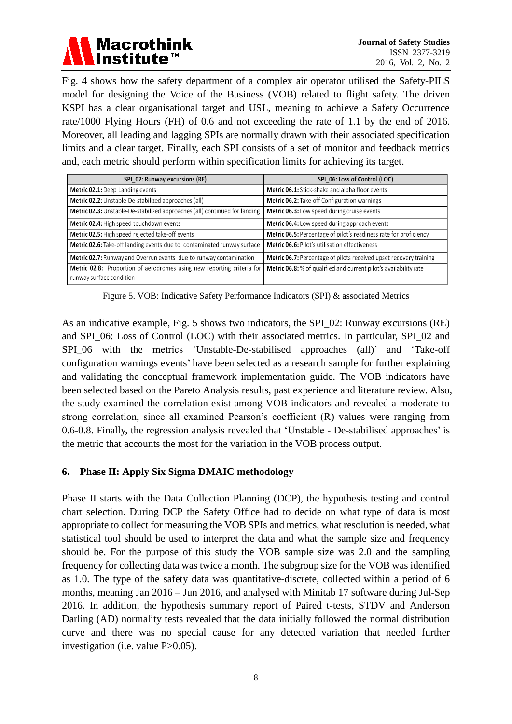

Fig. 4 shows how the safety department of a complex air operator utilised the Safety-PILS model for designing the Voice of the Business (VOB) related to flight safety. The driven KSPI has a clear organisational target and USL, meaning to achieve a Safety Occurrence rate/1000 Flying Hours (FH) of 0.6 and not exceeding the rate of 1.1 by the end of 2016. Moreover, all leading and lagging SPIs are normally drawn with their associated specification limits and a clear target. Finally, each SPI consists of a set of monitor and feedback metrics and, each metric should perform within specification limits for achieving its target.

| SPI_02: Runway excursions (RE)                                                                     | SPI_06: Loss of Control (LOC)                                      |
|----------------------------------------------------------------------------------------------------|--------------------------------------------------------------------|
| <b>Metric 02.1:</b> Deep Landing events                                                            | Metric 06.1: Stick-shake and alpha floor events                    |
| Metric 02.2: Unstable-De-stabilized approaches (all)                                               | Metric 06.2: Take off Configuration warnings                       |
| Metric 02.3: Unstable-De-stabilized approaches (all) continued for landing                         | Metric 06.3: Low speed during cruise events                        |
| Metric 02.4: High speed touchdown events                                                           | Metric 06.4: Low speed during approach events                      |
| Metric 02.5: High speed rejected take-off events                                                   | Metric 06.5: Percentage of pilot's readiness rate for proficiency  |
| <b>Metric 02.6:</b> Take-off landing events due to contaminated runway surface                     | <b>Metric 06.6: Pilot's utilisation effectiveness</b>              |
| Metric 02.7: Runway and Overrun events due to runway contamination                                 | Metric 06.7: Percentage of pilots received upset recovery training |
| Metric 02.8: Proportion of aerodromes using new reporting criteria for<br>runway surface condition | Metric 06.8: % of qualified and current pilot's availability rate  |

Figure 5. VOB: Indicative Safety Performance Indicators (SPI) & associated Metrics

As an indicative example, Fig. 5 shows two indicators, the SPI\_02: Runway excursions (RE) and SPI\_06: Loss of Control (LOC) with their associated metrics. In particular, SPI\_02 and SPI\_06 with the metrics 'Unstable-De-stabilised approaches (all)' and 'Take-off configuration warnings events' have been selected as a research sample for further explaining and validating the conceptual framework implementation guide. The VOB indicators have been selected based on the Pareto Analysis results, past experience and literature review. Also, the study examined the correlation exist among VOB indicators and revealed a moderate to strong correlation, since all examined Pearson's coefficient (R) values were ranging from 0.6-0.8. Finally, the regression analysis revealed that 'Unstable - De-stabilised approaches' is the metric that accounts the most for the variation in the VOB process output.

# **6. Phase II: Apply Six Sigma DMAIC methodology**

Phase II starts with the Data Collection Planning (DCP), the hypothesis testing and control chart selection. During DCP the Safety Office had to decide on what type of data is most appropriate to collect for measuring the VOB SPIs and metrics, what resolution is needed, what statistical tool should be used to interpret the data and what the sample size and frequency should be. For the purpose of this study the VOB sample size was 2.0 and the sampling frequency for collecting data was twice a month. The subgroup size for the VOB was identified as 1.0. The type of the safety data was quantitative-discrete, collected within a period of 6 months, meaning Jan 2016 – Jun 2016, and analysed with Minitab 17 software during Jul-Sep 2016. In addition, the hypothesis summary report of Paired t-tests, STDV and Anderson Darling (AD) normality tests revealed that the data initially followed the normal distribution curve and there was no special cause for any detected variation that needed further investigation (i.e. value P>0.05).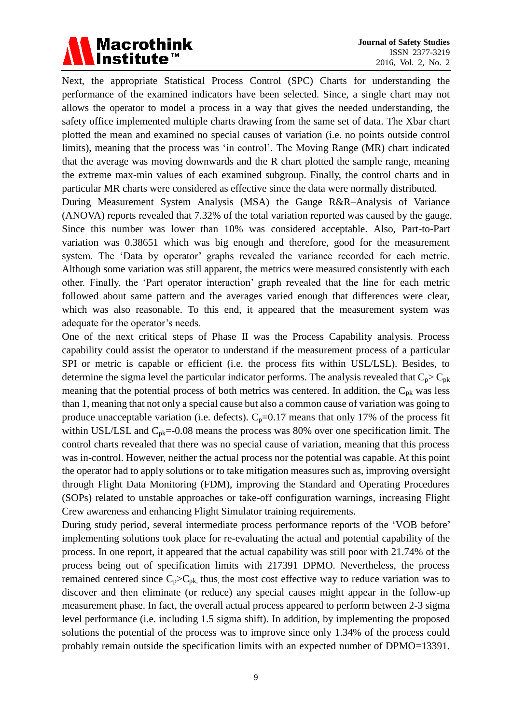# Macrothink<br>Institute™

Next, the appropriate Statistical Process Control (SPC) Charts for understanding the performance of the examined indicators have been selected. Since, a single chart may not allows the operator to model a process in a way that gives the needed understanding, the safety office implemented multiple charts drawing from the same set of data. The Xbar chart plotted the mean and examined no special causes of variation (i.e. no points outside control limits), meaning that the process was 'in control'. The Moving Range (MR) chart indicated that the average was moving downwards and the R chart plotted the sample range, meaning the extreme max-min values of each examined subgroup. Finally, the control charts and in particular MR charts were considered as effective since the data were normally distributed.

During Measurement System Analysis (MSA) the Gauge R&R–Analysis of Variance (ANOVA) reports revealed that 7.32% of the total variation reported was caused by the gauge. Since this number was lower than 10% was considered acceptable. Also, Part-to-Part variation was 0.38651 which was big enough and therefore, good for the measurement system. The 'Data by operator' graphs revealed the variance recorded for each metric. Although some variation was still apparent, the metrics were measured consistently with each other. Finally, the 'Part operator interaction' graph revealed that the line for each metric followed about same pattern and the averages varied enough that differences were clear, which was also reasonable. To this end, it appeared that the measurement system was adequate for the operator's needs.

One of the next critical steps of Phase II was the Process Capability analysis. Process capability could assist the operator to understand if the measurement process of a particular SPI or metric is capable or efficient (i.e. the process fits within USL/LSL). Besides, to determine the sigma level the particular indicator performs. The analysis revealed that  $C_p > C_{pk}$ meaning that the potential process of both metrics was centered. In addition, the  $C_{pk}$  was less than 1, meaning that not only a special cause but also a common cause of variation was going to produce unacceptable variation (i.e. defects).  $C_p=0.17$  means that only 17% of the process fit within USL/LSL and  $C_{pk}$ =-0.08 means the process was 80% over one specification limit. The control charts revealed that there was no special cause of variation, meaning that this process was in-control. However, neither the actual process nor the potential was capable. At this point the operator had to apply solutions or to take mitigation measures such as, improving oversight through Flight Data Monitoring (FDM), improving the Standard and Operating Procedures (SOPs) related to unstable approaches or take-off configuration warnings, increasing Flight Crew awareness and enhancing Flight Simulator training requirements.

During study period, several intermediate process performance reports of the 'VOB before' implementing solutions took place for re-evaluating the actual and potential capability of the process. In one report, it appeared that the actual capability was still poor with 21.74% of the process being out of specification limits with 217391 DPMO. Nevertheless, the process remained centered since  $C_p > C_{pk}$ , thus, the most cost effective way to reduce variation was to discover and then eliminate (or reduce) any special causes might appear in the follow-up measurement phase. In fact, the overall actual process appeared to perform between 2-3 sigma level performance (i.e. including 1.5 sigma shift). In addition, by implementing the proposed solutions the potential of the process was to improve since only 1.34% of the process could probably remain outside the specification limits with an expected number of DPMO=13391.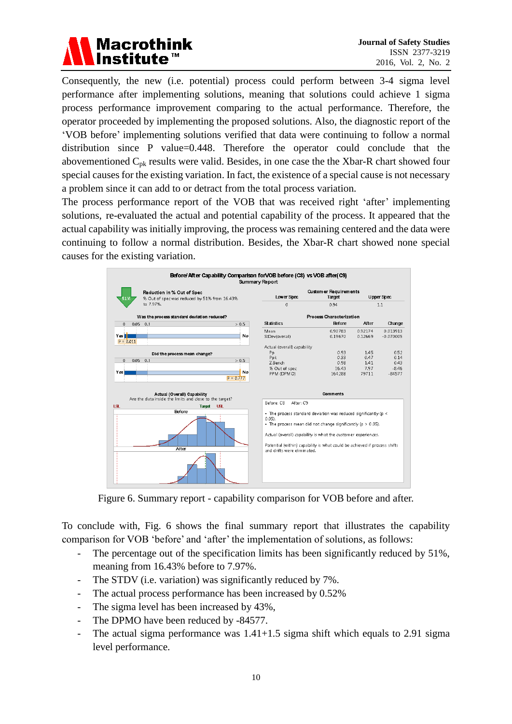

Consequently, the new (i.e. potential) process could perform between 3-4 sigma level performance after implementing solutions, meaning that solutions could achieve 1 sigma process performance improvement comparing to the actual performance. Therefore, the operator proceeded by implementing the proposed solutions. Also, the diagnostic report of the 'VOB before' implementing solutions verified that data were continuing to follow a normal distribution since P value=0.448. Therefore the operator could conclude that the abovementioned  $C_{\text{pk}}$  results were valid. Besides, in one case the the Xbar-R chart showed four special causes for the existing variation. In fact, the existence of a special cause is not necessary a problem since it can add to or detract from the total process variation.

The process performance report of the VOB that was received right 'after' implementing solutions, re-evaluated the actual and potential capability of the process. It appeared that the actual capability was initially improving, the process was remaining centered and the data were continuing to follow a normal distribution. Besides, the Xbar-R chart showed none special causes for the existing variation.



Figure 6. Summary report - capability comparison for VOB before and after.

To conclude with, Fig. 6 shows the final summary report that illustrates the capability comparison for VOB 'before' and 'after' the implementation of solutions, as follows:

- The percentage out of the specification limits has been significantly reduced by 51%, meaning from 16.43% before to 7.97%.
- The STDV (i.e. variation) was significantly reduced by 7%.
- The actual process performance has been increased by 0.52%
- The sigma level has been increased by  $43\%$ ,
- The DPMO have been reduced by -84577.
- The actual sigma performance was 1.41+1.5 sigma shift which equals to 2.91 sigma level performance.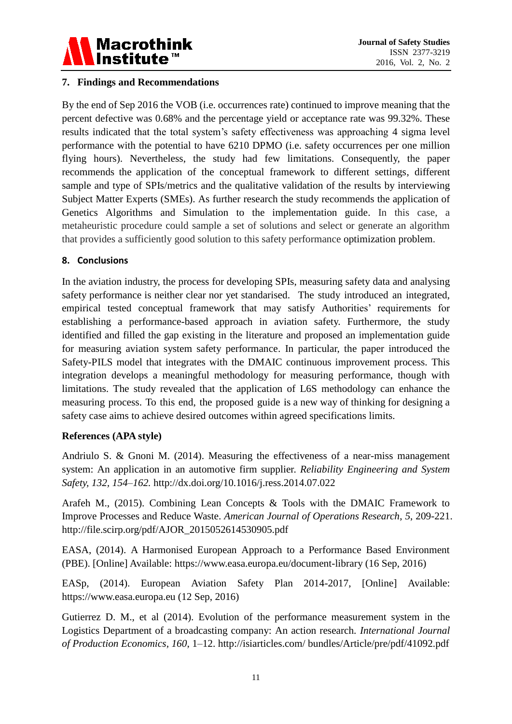

#### **7. Findings and Recommendations**

By the end of Sep 2016 the VOB (i.e. occurrences rate) continued to improve meaning that the percent defective was 0.68% and the percentage yield or acceptance rate was 99.32%. These results indicated that the total system's safety effectiveness was approaching 4 sigma level performance with the potential to have 6210 DPMO (i.e. safety occurrences per one million flying hours). Nevertheless, the study had few limitations. Consequently, the paper recommends the application of the conceptual framework to different settings, different sample and type of SPIs/metrics and the qualitative validation of the results by interviewing Subject Matter Experts (SMEs). As further research the study recommends the application of Genetics Algorithms and Simulation to the implementation guide. In this case, a metaheuristic procedure could sample a set of solutions and select or generate an algorithm that provides a sufficiently good solution to this safety performance optimization problem.

#### **8. Conclusions**

In the aviation industry, the process for developing SPIs, measuring safety data and analysing safety performance is neither clear nor yet standarised. The study introduced an integrated, empirical tested conceptual framework that may satisfy Authorities' requirements for establishing a performance-based approach in aviation safety. Furthermore, the study identified and filled the gap existing in the literature and proposed an implementation guide for measuring aviation system safety performance. In particular, the paper introduced the Safety-PILS model that integrates with the DMAIC continuous improvement process. This integration develops a meaningful methodology for measuring performance, though with limitations. The study revealed that the application of L6S methodology can enhance the measuring process. To this end, the proposed guide is a new way of thinking for designing a safety case aims to achieve desired outcomes within agreed specifications limits.

# **References (APA style)**

Andriulo S. & Gnoni M. (2014). Measuring the effectiveness of a near-miss management system: An application in an automotive firm supplier. *Reliability Engineering and System Safety, 132, 154–162.* http://dx.doi.org/10.1016/j.ress.2014.07.022

Arafeh M., (2015). Combining Lean Concepts & Tools with the DMAIC Framework to Improve Processes and Reduce Waste. *American Journal of Operations Research*, *5*, 209-221. http://file.scirp.org/pdf/AJOR\_2015052614530905.pdf

EASA, (2014). A Harmonised European Approach to a Performance Based Environment (PBE). [Online] Available: https://www.easa.europa.eu/document-library (16 Sep, 2016)

EASp, (2014). European Aviation Safety Plan 2014-2017, [Online] Available: https://www.easa.europa.eu (12 Sep, 2016)

Gutierrez D. M., et al (2014). Evolution of the performance measurement system in the Logistics Department of a broadcasting company: An action research. *International Journal of Production Economics, 160*, 1–12. http://isiarticles.com/ bundles/Article/pre/pdf/41092.pdf